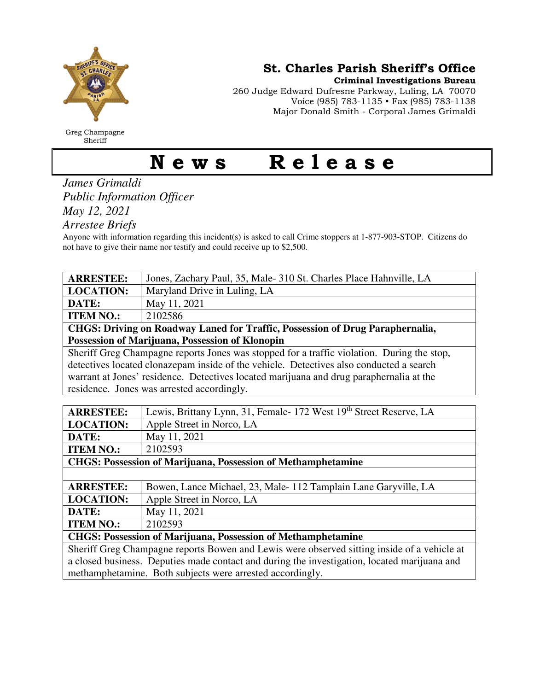

Greg Champagne Sheriff

St. Charles Parish Sheriff's Office

Criminal Investigations Bureau

260 Judge Edward Dufresne Parkway, Luling, LA 70070 Voice (985) 783-1135 • Fax (985) 783-1138 Major Donald Smith - Corporal James Grimaldi

## News Release

*James Grimaldi Public Information Officer May 12, 2021* 

*Arrestee Briefs* 

Anyone with information regarding this incident(s) is asked to call Crime stoppers at 1-877-903-STOP. Citizens do not have to give their name nor testify and could receive up to \$2,500.

| <b>ARRESTEE:</b>                                                                             | Jones, Zachary Paul, 35, Male-310 St. Charles Place Hahnville, LA |
|----------------------------------------------------------------------------------------------|-------------------------------------------------------------------|
| <b>LOCATION:</b>                                                                             | Maryland Drive in Luling, LA                                      |
| DATE:                                                                                        | May 11, 2021                                                      |
| <b>ITEM NO.:</b>                                                                             | 2102586                                                           |
| <b>CHGS: Driving on Roadway Laned for Traffic, Possession of Drug Paraphernalia,</b>         |                                                                   |
| Possession of Marijuana, Possession of Klonopin                                              |                                                                   |
| Sheriff Greg Champagne reports Jones was stopped for a traffic violation. During the stop,   |                                                                   |
| detectives located clonazepam inside of the vehicle. Detectives also conducted a search      |                                                                   |
| warrant at Jones' residence. Detectives located marijuana and drug paraphernalia at the      |                                                                   |
| residence. Jones was arrested accordingly.                                                   |                                                                   |
|                                                                                              |                                                                   |
| <b>ARRESTEE:</b>                                                                             | Lewis, Brittany Lynn, 31, Female-172 West 19th Street Reserve, LA |
| <b>LOCATION:</b>                                                                             | Apple Street in Norco, LA                                         |
| DATE:                                                                                        | May 11, 2021                                                      |
| <b>ITEM NO.:</b>                                                                             | 2102593                                                           |
| <b>CHGS: Possession of Marijuana, Possession of Methamphetamine</b>                          |                                                                   |
|                                                                                              |                                                                   |
| <b>ARRESTEE:</b>                                                                             | Bowen, Lance Michael, 23, Male-112 Tamplain Lane Garyville, LA    |
| <b>LOCATION:</b>                                                                             | Apple Street in Norco, LA                                         |
| DATE:                                                                                        | May 11, 2021                                                      |
| <b>ITEM NO.:</b>                                                                             | 2102593                                                           |
| <b>CHGS: Possession of Marijuana, Possession of Methamphetamine</b>                          |                                                                   |
| Sheriff Greg Champagne reports Bowen and Lewis were observed sitting inside of a vehicle at  |                                                                   |
| a closed business. Deputies made contact and during the investigation, located marijuana and |                                                                   |
| methamphetamine. Both subjects were arrested accordingly.                                    |                                                                   |